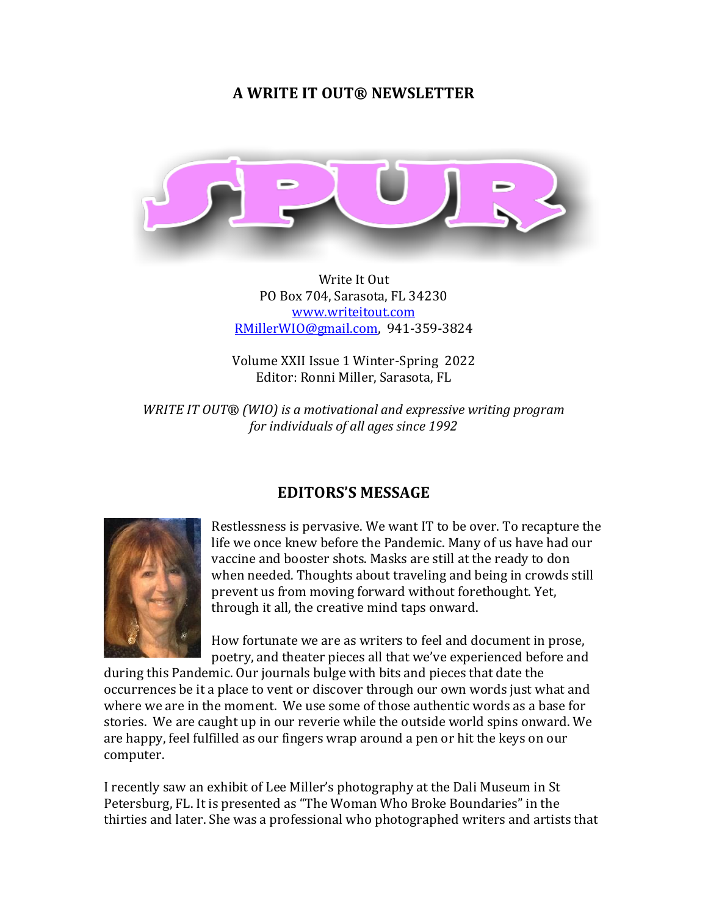# **A WRITE IT OUT® NEWSLETTER**



Write It Out PO Box 704, Sarasota, FL 34230 [www.writeitout.com](http://www.writeitout.com/) [RMillerWIO@gmail.com,](mailto:RMillerWIO@gmail.com) 941-359-3824

Volume XXII Issue 1 Winter-Spring 2022 Editor: Ronni Miller, Sarasota, FL

*WRITE IT OUT® (WIO) is a motivational and expressive writing program for individuals of all ages since 1992*

# **EDITORS'S MESSAGE**



Restlessness is pervasive. We want IT to be over. To recapture the life we once knew before the Pandemic. Many of us have had our vaccine and booster shots. Masks are still at the ready to don when needed. Thoughts about traveling and being in crowds still prevent us from moving forward without forethought. Yet, through it all, the creative mind taps onward.

How fortunate we are as writers to feel and document in prose, poetry, and theater pieces all that we've experienced before and

during this Pandemic. Our journals bulge with bits and pieces that date the occurrences be it a place to vent or discover through our own words just what and where we are in the moment. We use some of those authentic words as a base for stories. We are caught up in our reverie while the outside world spins onward. We are happy, feel fulfilled as our fingers wrap around a pen or hit the keys on our computer.

I recently saw an exhibit of Lee Miller's photography at the Dali Museum in St Petersburg, FL. It is presented as "The Woman Who Broke Boundaries" in the thirties and later. She was a professional who photographed writers and artists that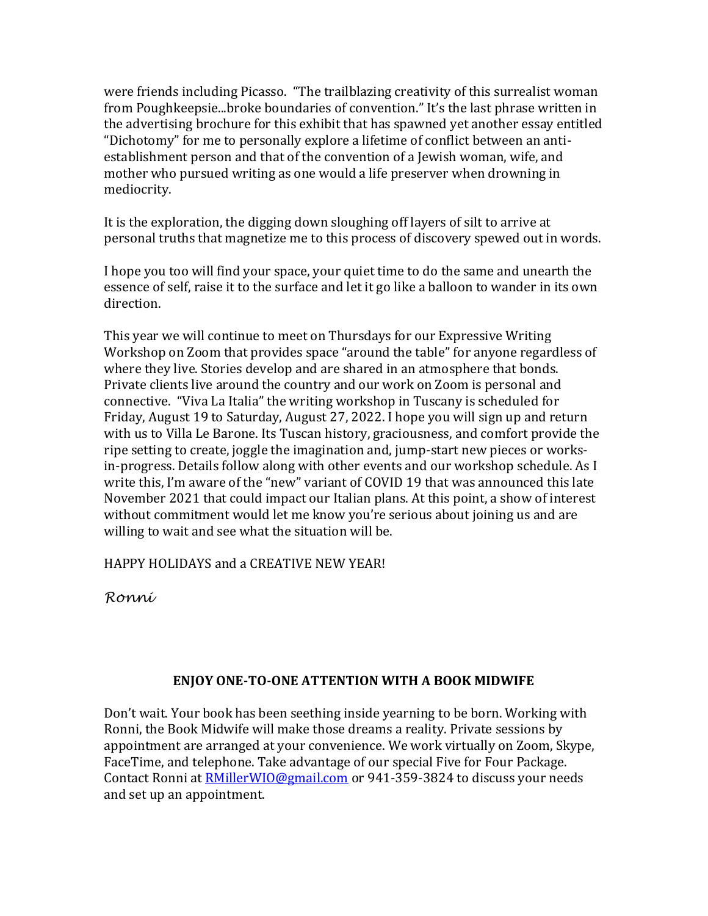were friends including Picasso. "The trailblazing creativity of this surrealist woman from Poughkeepsie...broke boundaries of convention." It's the last phrase written in the advertising brochure for this exhibit that has spawned yet another essay entitled "Dichotomy" for me to personally explore a lifetime of conflict between an antiestablishment person and that of the convention of a Jewish woman, wife, and mother who pursued writing as one would a life preserver when drowning in mediocrity.

It is the exploration, the digging down sloughing off layers of silt to arrive at personal truths that magnetize me to this process of discovery spewed out in words.

I hope you too will find your space, your quiet time to do the same and unearth the essence of self, raise it to the surface and let it go like a balloon to wander in its own direction.

This year we will continue to meet on Thursdays for our Expressive Writing Workshop on Zoom that provides space "around the table" for anyone regardless of where they live. Stories develop and are shared in an atmosphere that bonds. Private clients live around the country and our work on Zoom is personal and connective. "Viva La Italia" the writing workshop in Tuscany is scheduled for Friday, August 19 to Saturday, August 27, 2022. I hope you will sign up and return with us to Villa Le Barone. Its Tuscan history, graciousness, and comfort provide the ripe setting to create, joggle the imagination and, jump-start new pieces or worksin-progress. Details follow along with other events and our workshop schedule. As I write this, I'm aware of the "new" variant of COVID 19 that was announced this late November 2021 that could impact our Italian plans. At this point, a show of interest without commitment would let me know you're serious about joining us and are willing to wait and see what the situation will be.

HAPPY HOLIDAYS and a CREATIVE NEW YEAR!

*Ronni*

# **ENJOY ONE-TO-ONE ATTENTION WITH A BOOK MIDWIFE**

Don't wait. Your book has been seething inside yearning to be born. Working with Ronni, the Book Midwife will make those dreams a reality. Private sessions by appointment are arranged at your convenience. We work virtually on Zoom, Skype, FaceTime, and telephone. Take advantage of our special Five for Four Package. Contact Ronni at **RMillerWIO@gmail.com** or 941-359-3824 to discuss your needs and set up an appointment.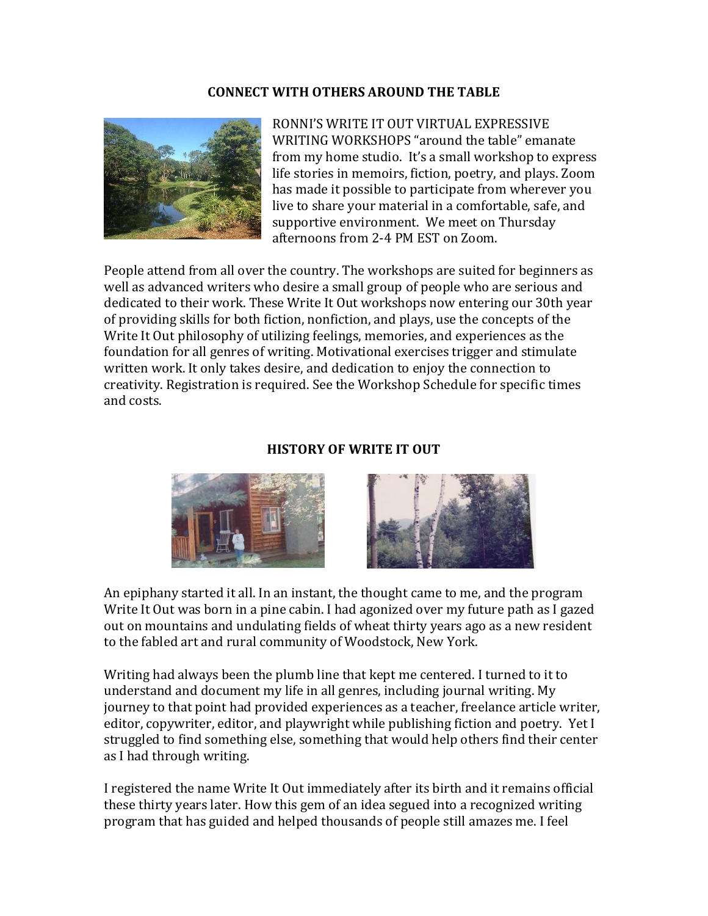#### **CONNECT WITH OTHERS AROUND THE TABLE**



RONNI'S WRITE IT OUT VIRTUAL EXPRESSIVE WRITING WORKSHOPS "around the table" emanate from my home studio. It's a small workshop to express life stories in memoirs, fiction, poetry, and plays. Zoom has made it possible to participate from wherever you live to share your material in a comfortable, safe, and supportive environment. We meet on Thursday afternoons from 2-4 PM EST on Zoom.

People attend from all over the country. The workshops are suited for beginners as well as advanced writers who desire a small group of people who are serious and dedicated to their work. These Write It Out workshops now entering our 30th year of providing skills for both fiction, nonfiction, and plays, use the concepts of the Write It Out philosophy of utilizing feelings, memories, and experiences as the foundation for all genres of writing. Motivational exercises trigger and stimulate written work. It only takes desire, and dedication to enjoy the connection to creativity. Registration is required. See the Workshop Schedule for specific times and costs.

#### **HISTORY OF WRITE IT OUT**





An epiphany started it all. In an instant, the thought came to me, and the program Write It Out was born in a pine cabin. I had agonized over my future path as I gazed out on mountains and undulating fields of wheat thirty years ago as a new resident to the fabled art and rural community of Woodstock, New York.

Writing had always been the plumb line that kept me centered. I turned to it to understand and document my life in all genres, including journal writing. My journey to that point had provided experiences as a teacher, freelance article writer, editor, copywriter, editor, and playwright while publishing fiction and poetry. Yet I struggled to find something else, something that would help others find their center as I had through writing.

I registered the name Write It Out immediately after its birth and it remains official these thirty years later. How this gem of an idea segued into a recognized writing program that has guided and helped thousands of people still amazes me. I feel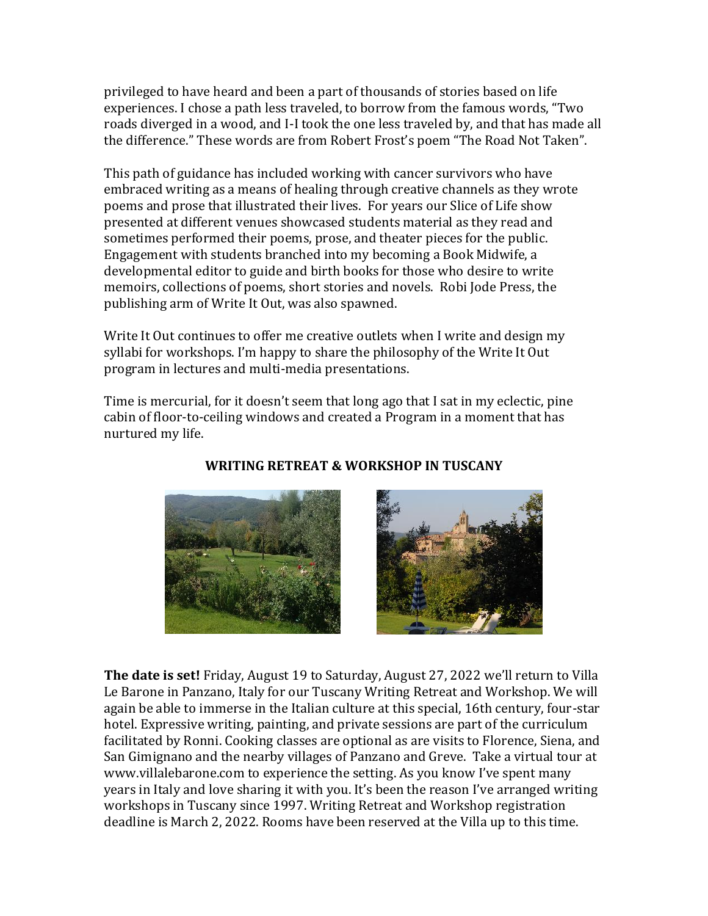privileged to have heard and been a part of thousands of stories based on life experiences. I chose a path less traveled, to borrow from the famous words, "Two roads diverged in a wood, and I-I took the one less traveled by, and that has made all the difference." These words are from Robert Frost's poem "The Road Not Taken".

This path of guidance has included working with cancer survivors who have embraced writing as a means of healing through creative channels as they wrote poems and prose that illustrated their lives. For years our Slice of Life show presented at different venues showcased students material as they read and sometimes performed their poems, prose, and theater pieces for the public. Engagement with students branched into my becoming a Book Midwife, a developmental editor to guide and birth books for those who desire to write memoirs, collections of poems, short stories and novels. Robi Jode Press, the publishing arm of Write It Out, was also spawned.

Write It Out continues to offer me creative outlets when I write and design my syllabi for workshops. I'm happy to share the philosophy of the Write It Out program in lectures and multi-media presentations.

Time is mercurial, for it doesn't seem that long ago that I sat in my eclectic, pine cabin of floor-to-ceiling windows and created a Program in a moment that has nurtured my life.





#### **The date is set!** Friday, August 19 to Saturday, August 27, 2022 we'll return to Villa Le Barone in Panzano, Italy for our Tuscany Writing Retreat and Workshop. We will again be able to immerse in the Italian culture at this special, 16th century, four-star hotel. Expressive writing, painting, and private sessions are part of the curriculum facilitated by Ronni. Cooking classes are optional as are visits to Florence, Siena, and San Gimignano and the nearby villages of Panzano and Greve. Take a virtual tour at www.villalebarone.com to experience the setting. As you know I've spent many years in Italy and love sharing it with you. It's been the reason I've arranged writing workshops in Tuscany since 1997. Writing Retreat and Workshop registration deadline is March 2, 2022. Rooms have been reserved at the Villa up to this time.

#### **WRITING RETREAT & WORKSHOP IN TUSCANY**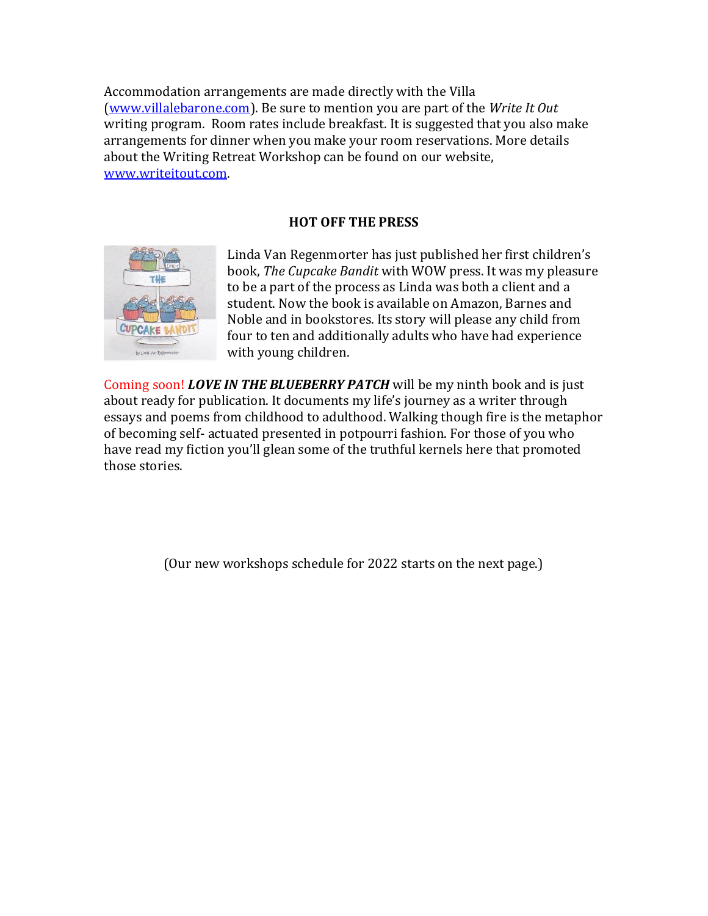Accommodation arrangements are made directly with the Villa [\(www.villalebarone.com\)](http://www.villalebarone.com/). Be sure to mention you are part of the *Write It Out* writing program. Room rates include breakfast. It is suggested that you also make arrangements for dinner when you make your room reservations. More details about the Writing Retreat Workshop can be found on our website, [www.writeitout.com.](http://www.writeitout.com/)

# **HOT OFF THE PRESS**



Linda Van Regenmorter has just published her first children's book, *The Cupcake Bandit* with WOW press. It was my pleasure to be a part of the process as Linda was both a client and a student. Now the book is available on Amazon, Barnes and Noble and in bookstores. Its story will please any child from four to ten and additionally adults who have had experience with young children.

Coming soon! *LOVE IN THE BLUEBERRY PATCH* will be my ninth book and is just about ready for publication. It documents my life's journey as a writer through essays and poems from childhood to adulthood. Walking though fire is the metaphor of becoming self- actuated presented in potpourri fashion. For those of you who have read my fiction you'll glean some of the truthful kernels here that promoted those stories.

(Our new workshops schedule for 2022 starts on the next page.)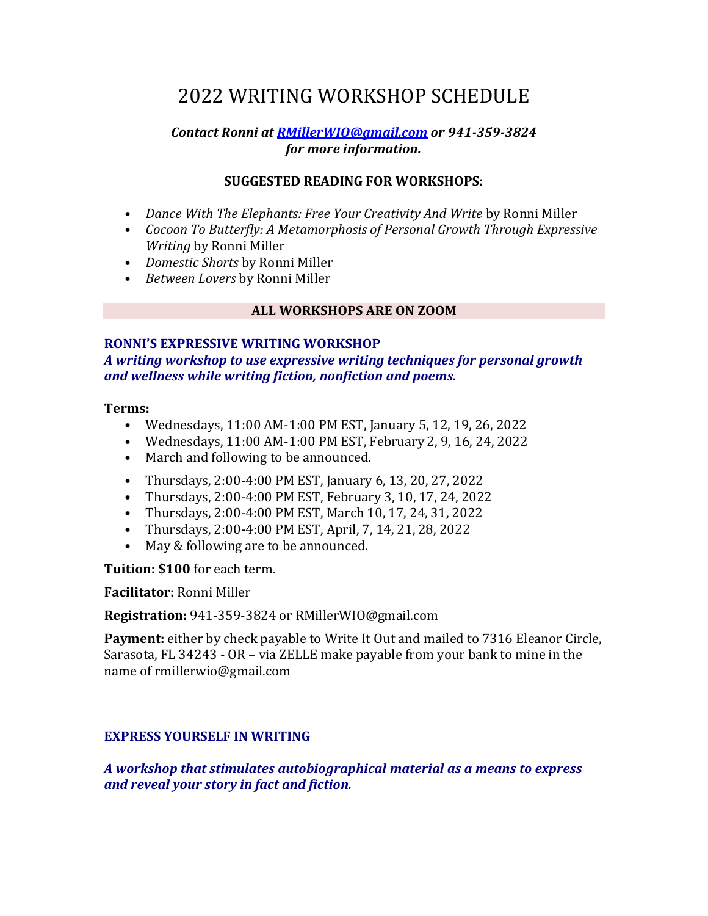# 2022 WRITING WORKSHOP SCHEDULE

#### *Contact Ronni at [RMillerWIO@gmail.com](mailto:RMillerWIO@gmail.com) or 941-359-3824 for more information.*

## **SUGGESTED READING FOR WORKSHOPS:**

- *Dance With The Elephants: Free Your Creativity And Write by Ronni Miller*
- *Cocoon To Butterfly: A Metamorphosis of Personal Growth Through Expressive Writing* by Ronni Miller
- *Domestic Shorts* by Ronni Miller
- *Between Lovers* by Ronni Miller

#### **ALL WORKSHOPS ARE ON ZOOM**

#### **RONNI'S EXPRESSIVE WRITING WORKSHOP**

*A writing workshop to use expressive writing techniques for personal growth and wellness while writing fiction, nonfiction and poems.*

#### **Terms:**

- Wednesdays, 11:00 AM-1:00 PM EST, January 5, 12, 19, 26, 2022
- Wednesdays, 11:00 AM-1:00 PM EST, February 2, 9, 16, 24, 2022
- March and following to be announced.
- Thursdays, 2:00-4:00 PM EST, January 6, 13, 20, 27, 2022
- Thursdays, 2:00-4:00 PM EST, February 3, 10, 17, 24, 2022
- Thursdays, 2:00-4:00 PM EST, March 10, 17, 24, 31, 2022
- Thursdays, 2:00-4:00 PM EST, April, 7, 14, 21, 28, 2022
- May & following are to be announced.

**Tuition: \$100** for each term.

**Facilitator:** Ronni Miller

**Registration:** 941-359-3824 or RMillerWIO@gmail.com

**Payment:** either by check payable to Write It Out and mailed to 7316 Eleanor Circle, Sarasota, FL 34243 - OR – via ZELLE make payable from your bank to mine in the name of rmillerwio@gmail.com

# **EXPRESS YOURSELF IN WRITING**

*A workshop that stimulates autobiographical material as a means to express and reveal your story in fact and fiction.*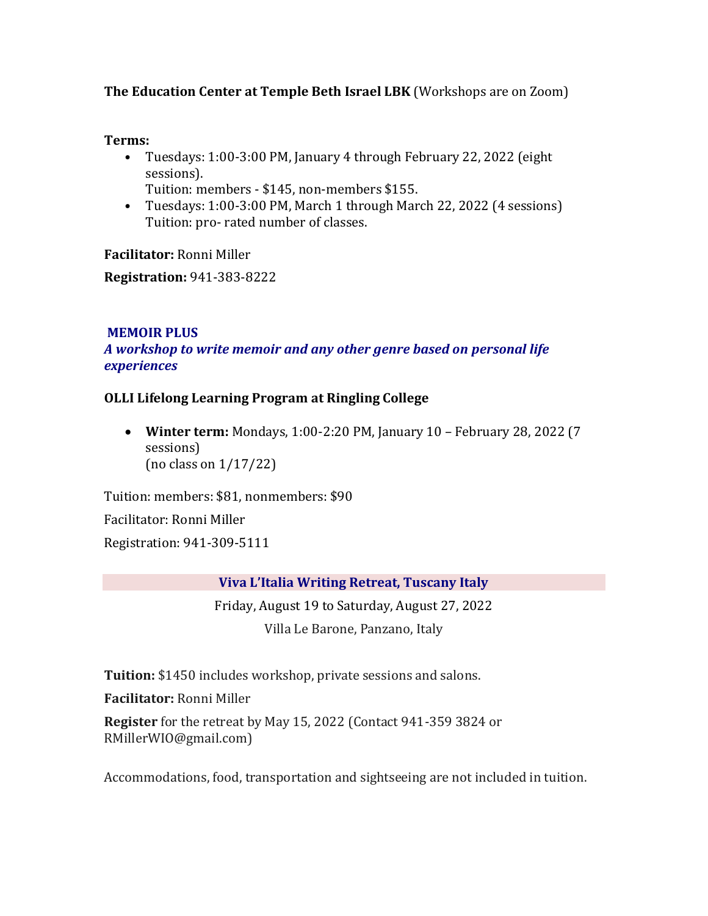**The Education Center at Temple Beth Israel LBK** (Workshops are on Zoom)

#### **Terms:**

- Tuesdays: 1:00-3:00 PM, January 4 through February 22, 2022 (eight sessions).
	- Tuition: members \$145, non-members \$155.
- Tuesdays: 1:00-3:00 PM, March 1 through March 22, 2022 (4 sessions) Tuition: pro- rated number of classes.

**Facilitator:** Ronni Miller

**Registration:** 941-383-8222

# **MEMOIR PLUS**

*A workshop to write memoir and any other genre based on personal life experiences*

# **OLLI Lifelong Learning Program at Ringling College**

 **Winter term:** Mondays, 1:00-2:20 PM, January 10 – February 28, 2022 (7 sessions) (no class on 1/17/22)

Tuition: members: \$81, nonmembers: \$90

Facilitator: Ronni Miller

Registration: 941-309-5111

# **Viva L'Italia Writing Retreat, Tuscany Italy**

Friday, August 19 to Saturday, August 27, 2022 Villa Le Barone, Panzano, Italy

**Tuition:** \$1450 includes workshop, private sessions and salons.

**Facilitator:** Ronni Miller

**Register** for the retreat by May 15, 2022 (Contact 941-359 3824 or RMillerWIO@gmail.com)

Accommodations, food, transportation and sightseeing are not included in tuition.